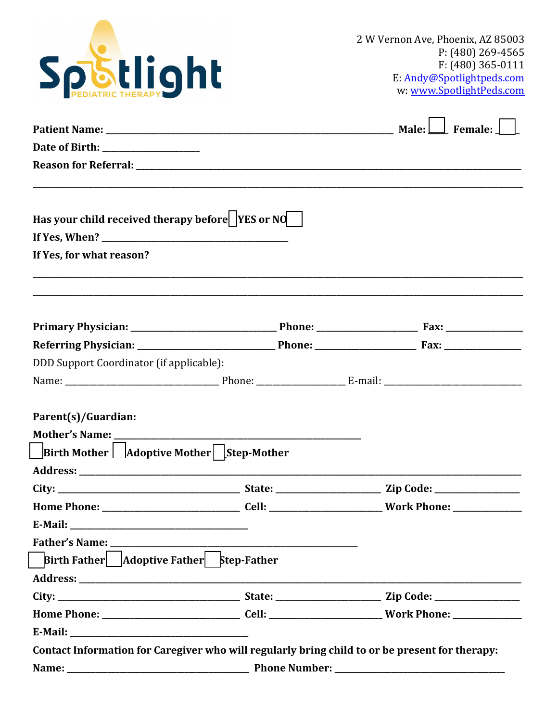

| Has your child received therapy before $\vert$ YES or NO $\vert$<br>If Yes, for what reason? |                                                                                                |  |  |  |  |
|----------------------------------------------------------------------------------------------|------------------------------------------------------------------------------------------------|--|--|--|--|
|                                                                                              |                                                                                                |  |  |  |  |
|                                                                                              |                                                                                                |  |  |  |  |
| DDD Support Coordinator (if applicable):                                                     |                                                                                                |  |  |  |  |
|                                                                                              |                                                                                                |  |  |  |  |
| Parent(s)/Guardian:<br>Birth Mother   Adoptive Mother   Step-Mother                          |                                                                                                |  |  |  |  |
|                                                                                              |                                                                                                |  |  |  |  |
|                                                                                              |                                                                                                |  |  |  |  |
|                                                                                              |                                                                                                |  |  |  |  |
| E-Mail:                                                                                      |                                                                                                |  |  |  |  |
|                                                                                              |                                                                                                |  |  |  |  |
| Birth Father   Adoptive Father   Step-Father                                                 |                                                                                                |  |  |  |  |
|                                                                                              |                                                                                                |  |  |  |  |
|                                                                                              |                                                                                                |  |  |  |  |
|                                                                                              |                                                                                                |  |  |  |  |
|                                                                                              |                                                                                                |  |  |  |  |
|                                                                                              | Contact Information for Caregiver who will regularly bring child to or be present for therapy: |  |  |  |  |
|                                                                                              |                                                                                                |  |  |  |  |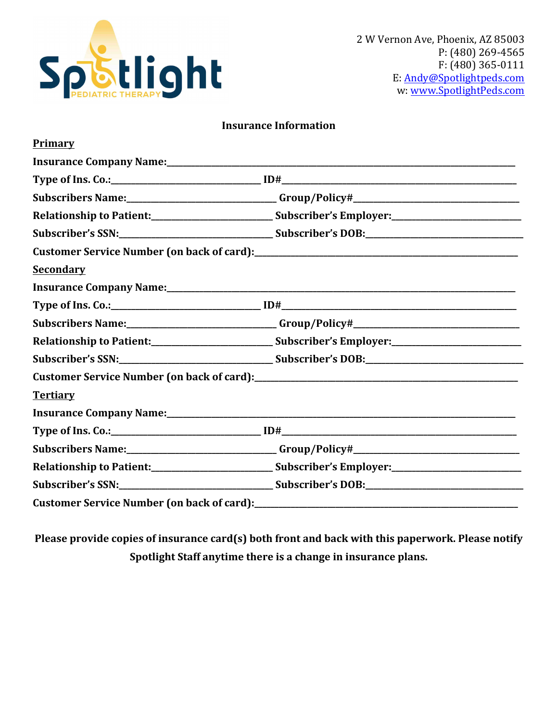

| <b>Insurance Information</b> |
|------------------------------|
|------------------------------|

| <b>Primary</b>   |                                                                                                               |
|------------------|---------------------------------------------------------------------------------------------------------------|
|                  |                                                                                                               |
|                  |                                                                                                               |
|                  |                                                                                                               |
|                  | Relationship to Patient:___________________________________Subscriber's Employer:____________________________ |
|                  |                                                                                                               |
|                  |                                                                                                               |
| <b>Secondary</b> |                                                                                                               |
|                  |                                                                                                               |
|                  |                                                                                                               |
|                  |                                                                                                               |
|                  |                                                                                                               |
|                  |                                                                                                               |
|                  |                                                                                                               |
| <b>Tertiary</b>  |                                                                                                               |
|                  |                                                                                                               |
|                  |                                                                                                               |
|                  | Subscribers Name:_____________________________Group/Policy#______________________                             |
|                  | Relationship to Patient:________________________________Subscriber's Employer:______________________          |
|                  |                                                                                                               |
|                  |                                                                                                               |

Please provide copies of insurance card(s) both front and back with this paperwork. Please notify Spotlight Staff anytime there is a change in insurance plans.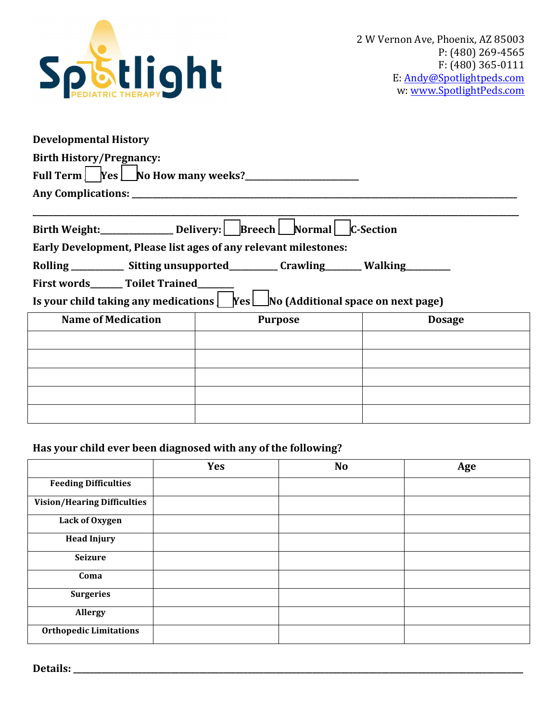

| <b>Developmental History</b>                                    |                                                                                                               |               |  |  |  |
|-----------------------------------------------------------------|---------------------------------------------------------------------------------------------------------------|---------------|--|--|--|
| <b>Birth History/Pregnancy:</b>                                 |                                                                                                               |               |  |  |  |
| Full Term $\sqrt{\text{Yes}}$ No How many weeks?                |                                                                                                               |               |  |  |  |
|                                                                 |                                                                                                               |               |  |  |  |
|                                                                 |                                                                                                               |               |  |  |  |
|                                                                 |                                                                                                               |               |  |  |  |
| Early Development, Please list ages of any relevant milestones: |                                                                                                               |               |  |  |  |
|                                                                 | Rolling ____________ Sitting unsupported___________ Crawling________ Walking_________                         |               |  |  |  |
| First words_______ Toilet Trained_______                        |                                                                                                               |               |  |  |  |
|                                                                 | Is your child taking any medications $\left  \right $ Yes $\left  \right $ No (Additional space on next page) |               |  |  |  |
| <b>Name of Medication</b>                                       | <b>Purpose</b>                                                                                                | <b>Dosage</b> |  |  |  |
|                                                                 |                                                                                                               |               |  |  |  |
|                                                                 |                                                                                                               |               |  |  |  |
|                                                                 |                                                                                                               |               |  |  |  |
|                                                                 |                                                                                                               |               |  |  |  |

### Has your child ever been diagnosed with any of the following?

|                                    | <b>Yes</b> | N <sub>o</sub> | Age |
|------------------------------------|------------|----------------|-----|
| <b>Feeding Difficulties</b>        |            |                |     |
| <b>Vision/Hearing Difficulties</b> |            |                |     |
| Lack of Oxygen                     |            |                |     |
| <b>Head Injury</b>                 |            |                |     |
| <b>Seizure</b>                     |            |                |     |
| Coma                               |            |                |     |
| <b>Surgeries</b>                   |            |                |     |
| Allergy                            |            |                |     |
| <b>Orthopedic Limitations</b>      |            |                |     |

**Details: \_\_\_\_\_\_\_\_\_\_\_\_\_\_\_\_\_\_\_\_\_\_\_\_\_\_\_\_\_\_\_\_\_\_\_\_\_\_\_\_\_\_\_\_\_\_\_\_\_\_\_\_\_\_\_\_\_\_\_\_\_\_\_\_\_\_\_\_\_\_\_\_\_\_\_\_\_\_\_\_\_\_\_\_\_\_\_\_\_\_\_\_\_\_\_\_\_\_\_\_\_\_\_\_\_\_\_\_\_\_\_**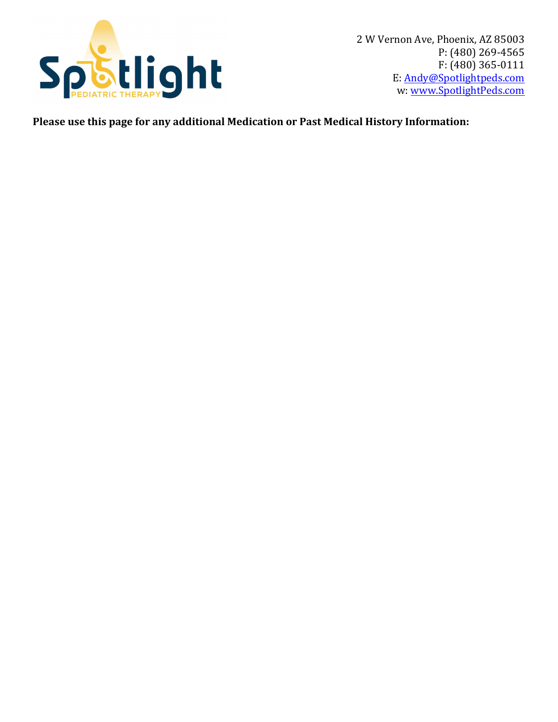

2 W Vernon Ave, Phoenix, AZ 85003 P: (480) 269-4565  $F: (480)$  365-0111 E: Andy@Spotlightpeds.com w: www.SpotlightPeds.com

Please use this page for any additional Medication or Past Medical History Information: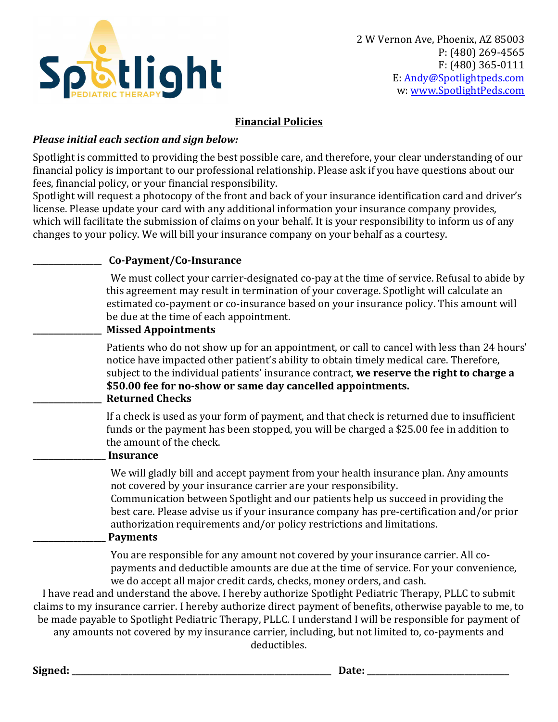

### **Financial Policies**

### **Please initial each section and sign below:**

Spotlight is committed to providing the best possible care, and therefore, your clear understanding of our financial policy is important to our professional relationship. Please ask if you have questions about our fees, financial policy, or your financial responsibility.

Spotlight will request a photocopy of the front and back of your insurance identification card and driver's license. Please update your card with any additional information your insurance company provides, which will facilitate the submission of claims on your behalf. It is your responsibility to inform us of any changes to your policy. We will bill your insurance company on your behalf as a courtesy.

| Co-Payment/Co-Insurance                                                                                                                                                                                                                                                                                                                                                                                                                                                                                                                                                                                                                                                                                |
|--------------------------------------------------------------------------------------------------------------------------------------------------------------------------------------------------------------------------------------------------------------------------------------------------------------------------------------------------------------------------------------------------------------------------------------------------------------------------------------------------------------------------------------------------------------------------------------------------------------------------------------------------------------------------------------------------------|
| We must collect your carrier-designated co-pay at the time of service. Refusal to abide by<br>this agreement may result in termination of your coverage. Spotlight will calculate an<br>estimated co-payment or co-insurance based on your insurance policy. This amount will<br>be due at the time of each appointment.<br><b>Missed Appointments</b>                                                                                                                                                                                                                                                                                                                                                 |
| Patients who do not show up for an appointment, or call to cancel with less than 24 hours'<br>notice have impacted other patient's ability to obtain timely medical care. Therefore,<br>subject to the individual patients' insurance contract, we reserve the right to charge a<br>\$50.00 fee for no-show or same day cancelled appointments.<br><b>Returned Checks</b>                                                                                                                                                                                                                                                                                                                              |
| If a check is used as your form of payment, and that check is returned due to insufficient<br>funds or the payment has been stopped, you will be charged a \$25.00 fee in addition to<br>the amount of the check.<br><b>Insurance</b>                                                                                                                                                                                                                                                                                                                                                                                                                                                                  |
| We will gladly bill and accept payment from your health insurance plan. Any amounts<br>not covered by your insurance carrier are your responsibility.<br>Communication between Spotlight and our patients help us succeed in providing the<br>best care. Please advise us if your insurance company has pre-certification and/or prior<br>authorization requirements and/or policy restrictions and limitations.<br><b>Payments</b>                                                                                                                                                                                                                                                                    |
| You are responsible for any amount not covered by your insurance carrier. All co-<br>payments and deductible amounts are due at the time of service. For your convenience,<br>we do accept all major credit cards, checks, money orders, and cash.<br>I have read and understand the above. I hereby authorize Spotlight Pediatric Therapy, PLLC to submit<br>claims to my insurance carrier. I hereby authorize direct payment of benefits, otherwise payable to me, to<br>be made payable to Spotlight Pediatric Therapy, PLLC. I understand I will be responsible for payment of<br>any amounts not covered by my insurance carrier, including, but not limited to, co-payments and<br>deductibles. |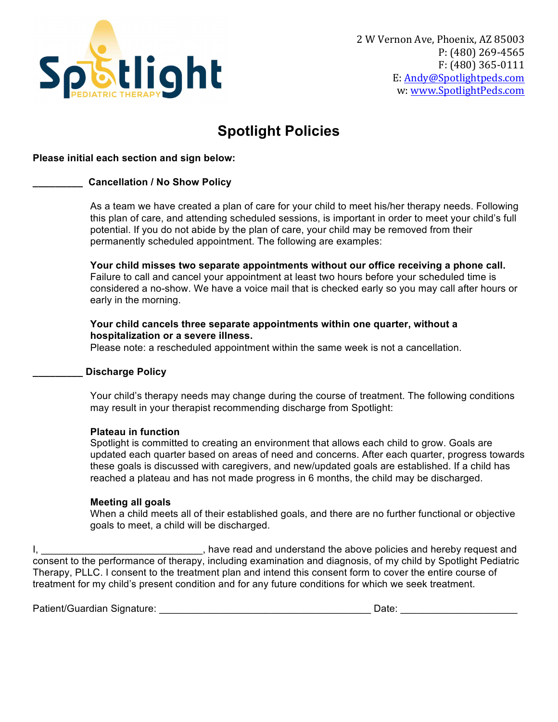

## **Spotlight Policies**

### **Please initial each section and sign below:**

#### **\_\_\_\_\_\_\_\_\_ Cancellation / No Show Policy**

As a team we have created a plan of care for your child to meet his/her therapy needs. Following this plan of care, and attending scheduled sessions, is important in order to meet your child's full potential. If you do not abide by the plan of care, your child may be removed from their permanently scheduled appointment. The following are examples:

**Your child misses two separate appointments without our office receiving a phone call.**  Failure to call and cancel your appointment at least two hours before your scheduled time is considered a no-show. We have a voice mail that is checked early so you may call after hours or early in the morning.

#### **Your child cancels three separate appointments within one quarter, without a hospitalization or a severe illness.**

Please note: a rescheduled appointment within the same week is not a cancellation.

#### **\_\_\_\_\_\_\_\_\_ Discharge Policy**

Your child's therapy needs may change during the course of treatment. The following conditions may result in your therapist recommending discharge from Spotlight:

#### **Plateau in function**

Spotlight is committed to creating an environment that allows each child to grow. Goals are updated each quarter based on areas of need and concerns. After each quarter, progress towards these goals is discussed with caregivers, and new/updated goals are established. If a child has reached a plateau and has not made progress in 6 months, the child may be discharged.

#### **Meeting all goals**

When a child meets all of their established goals, and there are no further functional or objective goals to meet, a child will be discharged.

I, \_\_\_\_\_\_\_\_\_\_\_\_\_\_\_\_\_\_\_\_\_\_\_\_\_\_\_\_\_\_\_, have read and understand the above policies and hereby request and consent to the performance of therapy, including examination and diagnosis, of my child by Spotlight Pediatric Therapy, PLLC. I consent to the treatment plan and intend this consent form to cover the entire course of treatment for my child's present condition and for any future conditions for which we seek treatment.

Patient/Guardian Signature: \_\_\_\_\_\_\_\_\_\_\_\_\_\_\_\_\_\_\_\_\_\_\_\_\_\_\_\_\_\_\_\_\_\_\_\_\_\_ Date: \_\_\_\_\_\_\_\_\_\_\_\_\_\_\_\_\_\_\_\_\_